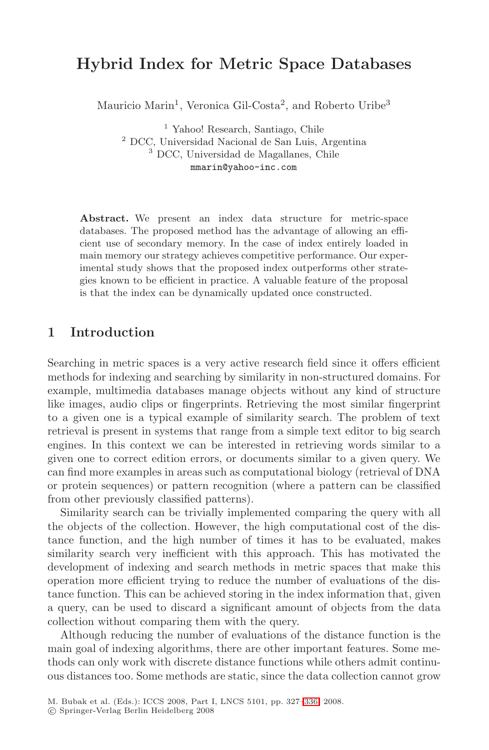# **Hybrid Index for Metric Space Databases**

Mauricio Marin<sup>1</sup>, Veronica Gil-Costa<sup>2</sup>, and Roberto Uribe<sup>3</sup>

<sup>1</sup> Yahoo! Research, Santiago, Chile <sup>2</sup> DCC, Universidad Nacional de San Luis, Argentina <sup>3</sup> DCC, Universidad de Magallanes, Chile mmarin@yahoo-inc.com

**Abstract.** We present an index data structure for metric-space databases. The proposed method has the advantage of allowing an efficient use of secondary memory. In the case of index entirely loaded in main memory our strategy achieves competitive performance. Our experimental study shows that the proposed index outperforms other strategies known to be efficient in practice. A valuable feature of the proposal is that the index can be dynamically updated once constructed.

# **1 Introduction**

Searching in metric spaces is a very active research field since it offers efficient methods for indexing and searching by similarity in non-structured domains. For example, multimedia databases manage objects without any kind of structure like images, audio clips or fingerprints. Retrieving the most similar fingerprint to a given one is a typical example of similarity search. The problem of text retrieval is present in systems that range from a simple text editor to big search engines. In this context we can be interested in retrieving words similar to a given one to correct edition errors, or documents similar to a given query. We can find more examples in areas such as computational biology (retrieval of DNA or protein sequences) or pattern recognition (where a pattern can be classified from other previously classified patterns).

Similarity search can be trivially implemented comparing the query with all the objects of the collection. However, the high computational cost of the distance function, and the high number of times it has to be evaluated, makes similarity search very inefficient with this approach. This has motivated the development of indexing and search methods in metric spaces that make this operation more efficient trying to reduce the number of evaluations of the distance function. This can be achieved storing in the index information that, given a query, can be used to discard a significant amount of objects from the data collection without comparing them with the query.

Although reducing the number of evaluations of the distance function is the main goal of indexing algorithms, there are other important features. Some methods can only work with discrete distance functions while others admit continuous distances too. Some methods are static, since the data collection cannot grow

M. Bubak et al. (Eds.): ICCS 2008, Part I, LNCS 5101, pp. 327–336, 2008.

<sup>-</sup>c Springer-Verlag Berlin Heidelberg 2008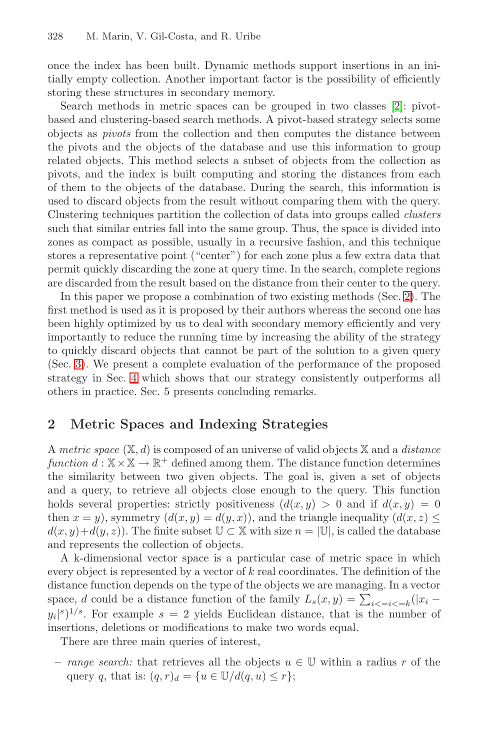#### 328 M. Marin, V. Gil-Costa, and R. Uribe

once the index has been built. Dynamic methods support insertions in an initially empty collection. Another important factor is the possibility of efficiently storing these structures in secondary memory.

Search methods in metric spaces can be grouped in two classes [2]: pivotbased and clustering-based search methods. A pivot-based strategy selects some objects as pivots from the collection and then computes the distance between the pivots and the objects of the database and use this information to group related objects. This method selects a subset of objects from the collection as pivots, and the index is built computing and storing the distances from each of them to the objects of the database. During the search, this information is used to discard objects from the result without comparing them with the query. Clustering techniques partition the collection of data into groups called clusters such that similar entries fall into the same group. Thus, the space is divided into zones as compact as possible, usually in a recursive fashion, and this technique stores a representative point ("center") for each zone plus a few extra data that permit quickly discarding the zone at query time. In the search, complete regions are discarded from the result based on the distance from their center to the query.

In this paper we propose a combination of two existing methods (Sec. 2). The first method is used as it is proposed by their authors whereas the second one has been highly optimized by us to deal with secondary memory efficiently and very importantly to reduce the running time by increasing the ability of the strategy to quickly discard objects that cannot be part of the solution to a given query (Sec. 3). We present a complete evaluation of the performance of the proposed strategy in Sec. 4 which shows that our strategy consistently outperforms all others in practice. Sec. 5 presents concluding remarks.

# **2 Metric Spaces and Indexing Strategies**

A metric space  $(X, d)$  is composed of an universe of valid objects X and a *distance* function  $d : \mathbb{X} \times \mathbb{X} \to \mathbb{R}^+$  defined among them. The distance function determines the similarity between two given objects. The goal is, given a set of objects and a query, to retrieve all objects close enough to the query. This function holds several properties: strictly positiveness  $(d(x, y) > 0$  and if  $d(x, y) = 0$ then  $x = y$ , symmetry  $(d(x, y) = d(y, x))$ , and the triangle inequality  $(d(x, z))$  $d(x, y)+d(y, z)$ . The finite subset  $\mathbb{U} \subset \mathbb{X}$  with size  $n = |\mathbb{U}|$ , is called the database and represents the collection of objects.

A k-dimensional vector space is a particular case of metric space in which every object is represented by a vector of k real coordinates. The definition of the distance function depends on the type of the objects we are managing. In a vector space, d could be a distance function of the family  $L_s(x,y) = \sum_{i \le i \le k} (|x_i$  $y_i|s|^{1/s}$ . For example  $s = 2$  yields Euclidean distance, that is the number of insertions, deletions or modifications to make two words equal.

There are three main queries of interest,

**–** range search: that retrieves all the objects u ∈ U within a radius r of the query q, that is:  $(q, r)<sub>d</sub> = {u \in \mathbb{U}/d(q, u) \leq r};$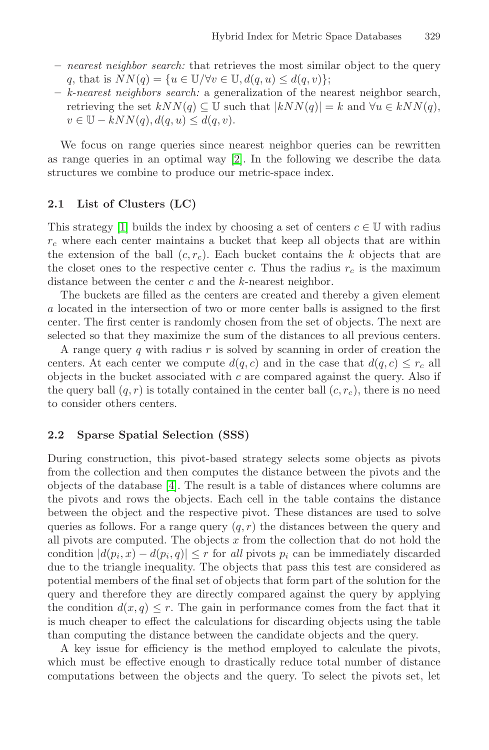- **–** nearest neighbor search: that retrieves the most similar object to the query q, that is  $NN(q) = \{u \in \mathbb{U}/\forall v \in \mathbb{U}, d(q, u) \leq d(q, v)\};$
- **–** k-nearest neighbors search: a generalization of the nearest neighbor search, retrieving the set  $kNN(q) \subseteq \mathbb{U}$  such that  $|kNN(q)| = k$  and  $\forall u \in kNN(q)$ ,  $v \in \mathbb{U} - kNN(q), d(q, u) \leq d(q, v).$

We focus on range queries since nearest neighbor queries can be rewritten as range queries in an optimal way [2]. In the following we describe the data structures we combine to produce our metric-space index.

## **2.1 List of Clusters (LC)**

This strategy [1] builds the index by choosing a set of centers  $c \in \mathbb{U}$  with radius  $r_c$  where each center maintains a bucket that keep all objects that are within the extension of the ball  $(c, r_c)$ . Each bucket contains the k objects that are the closet ones to the respective center c. Thus the radius  $r_c$  is the maximum distance between the center  $c$  and the  $k$ -nearest neighbor.

The buckets are filled as the centers are created and thereby a given element a located in the intersection of two or more center balls is assigned to the first center. The first center is randomly chosen from the set of objects. The next are selected so that they maximize the sum of the distances to all previous centers.

A range query q with radius  $r$  is solved by scanning in order of creation the centers. At each center we compute  $d(q, c)$  and in the case that  $d(q, c) \leq r_c$  all objects in the bucket associated with  $c$  are compared against the query. Also if the query ball  $(q, r)$  is totally contained in the center ball  $(c, r_c)$ , there is no need to consider others centers.

### **2.2 Sparse Spatial Selection (SSS)**

During construction, this pivot-based strategy selects some objects as pivots from the collection and then computes the distance between the pivots and the objects of the database [4]. The result is a table of distances where columns are the pivots and rows the objects. Each cell in the table contains the distance between the object and the respective pivot. These distances are used to solve queries as follows. For a range query  $(q, r)$  the distances between the query and all pivots are computed. The objects  $x$  from the collection that do not hold the condition  $|d(p_i, x) - d(p_i, q)| \leq r$  for all pivots  $p_i$  can be immediately discarded due to the triangle inequality. The objects that pass this test are considered as potential members of the final set of objects that form part of the solution for the query and therefore they are directly compared against the query by applying the condition  $d(x, q) \leq r$ . The gain in performance comes from the fact that it is much cheaper to effect the calculations for discarding objects using the table than computing the distance between the candidate objects and the query.

A key issue for efficiency is the method employed to calculate the pivots, which must be effective enough to drastically reduce total number of distance computations between the objects and the query. To select the pivots set, let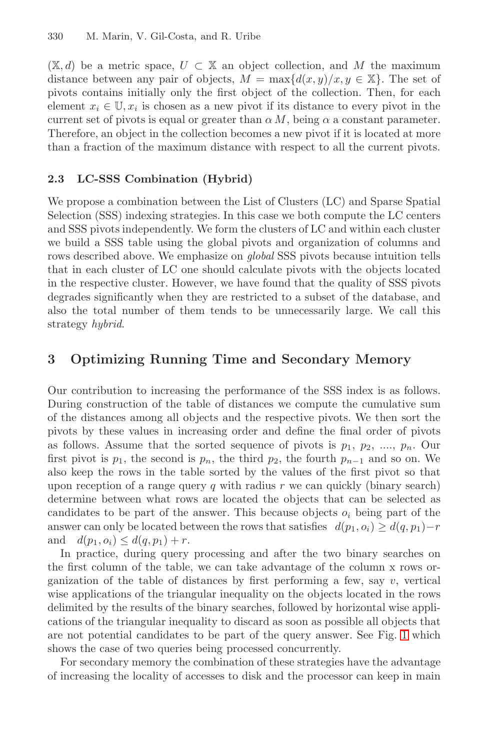$(X, d)$  be a metric space,  $U \subset X$  an object collection, and M the maximum distance between any pair of objects,  $M = \max\{d(x, y)/x, y \in \mathbb{X}\}\.$  The set of pivots contains initially only the first object of the collection. Then, for each element  $x_i \in \mathbb{U}, x_i$  is chosen as a new pivot if its distance to every pivot in the current set of pivots is equal or greater than  $\alpha M$ , being  $\alpha$  a constant parameter. Therefore, an object in the collection becomes a new pivot if it is located at more than a fraction of the maximum distance with respect to all the current pivots.

### **2.3 LC-SSS Combination (Hybrid)**

We propose a combination between the List of Clusters (LC) and Sparse Spatial Selection (SSS) indexing strategies. In this case we both compute the LC centers and SSS pivots independently. We form the clusters of LC and within each cluster we build a SSS table using the global pivots and organization of columns and rows described above. We emphasize on *global* SSS pivots because intuition tells that in each cluster of LC one should calculate pivots with the objects located in the respective cluster. However, we have found that the quality of SSS pivots degrades significantly when they are restricted to a subset of the database, and also the total number of them tends to be unnecessarily large. We call this strategy hybrid.

# **3 Optimizing Running Time and Secondary Memory**

Our contribution to increasing the performance of the SSS index is as follows. During construction of the table of distances we compute the cumulative sum of the distances among all objects and the respective pivots. We then sort the pivots by these values in increasing order and define the final order of pivots as follows. Assume that the sorted sequence of pivots is  $p_1, p_2, \ldots, p_n$ . Our first pivot is  $p_1$ , the second is  $p_n$ , the third  $p_2$ , the fourth  $p_{n-1}$  and so on. We also keep the rows in the table sorted by the values of the first pivot so that upon reception of a range query q with radius  $r$  we can quickly (binary search) determine between what rows are located the objects that can be selected as candidates to be part of the answer. This because objects  $o_i$  being part of the answer can only be located between the rows that satisfies  $d(p_1, o_i) \geq d(q, p_1) - r$ and  $d(p_1, o_i) \leq d(q, p_1) + r$ .

In practice, during query processing and after the two binary searches on the first column of the table, we can take advantage of the column x rows organization of the table of distances by first performing a few, say  $v$ , vertical wise applications of the triangular inequality on the objects located in the rows delimited by the results of the binary searches, followed by horizontal wise applications of the triangular inequality to discard as soon as possible all objects that are not potential candidates to be part of the query answer. See Fig. 1 which shows the case of two queries being processed concurrently.

For secondary memory the combination of these strategies have the advantage of increasing the locality of accesses to disk and the processor can keep in main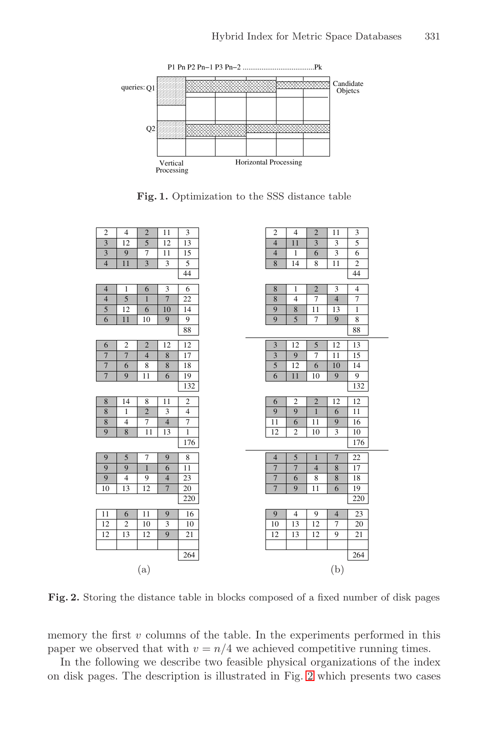

**Fig. 1.** Optimization to the SSS distance table



**Fig. 2.** Storing the distance table in blocks composed of a fixed number of disk pages

memory the first  $v$  columns of the table. In the experiments performed in this paper we observed that with  $v = n/4$  we achieved competitive running times.

In the following we describe two feasible physical organizations of the index on disk pages. The description is illustrated in Fig. 2 which presents two cases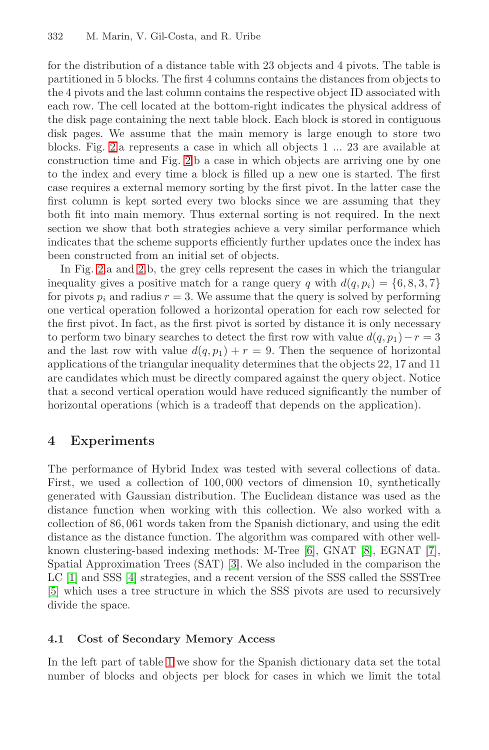#### 332 M. Marin, V. Gil-Costa, and R. Uribe

for the distribution of a distance table with 23 objects and 4 pivots. The table is partitioned in 5 blocks. The first 4 columns contains the distances from objects to the 4 pivots and the last column contains the respective object ID associated with each row. The cell located at the bottom-right indicates the physical address of the disk page containing the next table block. Each block is stored in contiguous disk pages. We assume that the main memory is large enough to store two blocks. Fig. 2.a represents a case in which all objects 1 ... 23 are available at construction time and Fig. 2.b a case in which objects are arriving one by one to the index and every time a block is filled up a new one is started. The first case requires a external memory sorting by the first pivot. In the latter case the first column is kept sorted every two blocks since we are assuming that they both fit into main memory. Thus external sorting is not required. In the next section we show that both strategies achieve a very similar performance which indicates that the scheme supports efficiently further updates once the index has been constructed from an initial set of objects.

In Fig. 2.a and 2.b, the grey cells represent the cases in which the triangular inequality gives a positive match for a range query q with  $d(q, p_i) = \{6, 8, 3, 7\}$ for pivots  $p_i$  and radius  $r = 3$ . We assume that the query is solved by performing one vertical operation followed a horizontal operation for each row selected for the first pivot. In fact, as the first pivot is sorted by distance it is only necessary to perform two binary searches to detect the first row with value  $d(q, p_1) - r = 3$ and the last row with value  $d(q, p_1) + r = 9$ . Then the sequence of horizontal applications of the triangular inequality determines that the objects 22, 17 and 11 are candidates which must be directly compared against the query object. Notice that a second vertical operation would have reduced significantly the number of horizontal operations (which is a tradeoff that depends on the application).

# **4 Experiments**

The performance of Hybrid Index was tested with several collections of data. First, we used a collection of 100, 000 vectors of dimension 10, synthetically generated with Gaussian distribution. The Euclidean distance was used as the distance function when working with this collection. We also worked with a collection of 86, 061 words taken from the Spanish dictionary, and using the edit distance as the distance function. The algorithm was compared with other wellknown clustering-based indexing methods: M-Tree [6], GNAT [8], EGNAT [7], Spatial Approximation Trees (SAT) [3]. We also included in the comparison the LC [1] and SSS [4] strategies, and a recent version of the SSS called the SSSTree [5] which uses a tree structure in which the SSS pivots are used to recursively divide the space.

### **4.1 Cost of Secondary Memory Access**

In the left part of table 1 we show for the Spanish dictionary data set the total number of blocks and objects per block for cases in which we limit the total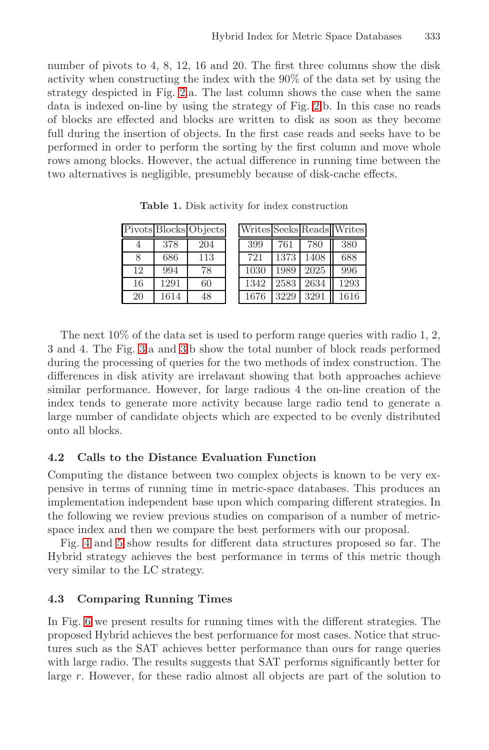number of pivots to 4, 8, 12, 16 and 20. The first three columns show the disk activity when constructing the index with the 90% of the data set by using the strategy despicted in Fig. 2.a. The last column shows the case when the same data is indexed on-line by using the strategy of Fig. 2.b. In this case no reads of blocks are effected and blocks are written to disk as soon as they become full during the insertion of objects. In the first case reads and seeks have to be performed in order to perform the sorting by the first column and move whole rows among blocks. However, the actual difference in running time between the two alternatives is negligible, presumebly because of disk-cache effects.

**Table 1.** Disk activity for index construction

|    |      | Pivots Blocks Objects |      |      |      | Writes Seeks Reads Writes |
|----|------|-----------------------|------|------|------|---------------------------|
|    | 378  | 204                   | 399  | 761  | 780  | 380                       |
| Я  | 686  | 113                   | 721  | 1373 | 1408 | 688                       |
| 12 | 994  | 78                    | 1030 | 1989 | 2025 | 996                       |
| 16 | 1291 | 60                    | 1342 | 2583 | 2634 | 1293                      |
| 20 | 1614 | 48                    | 1676 | 3229 | 3291 | 1616                      |

The next 10% of the data set is used to perform range queries with radio 1, 2, 3 and 4. The Fig. 3.a and 3.b show the total number of block reads performed during the processing of queries for the two methods of index construction. The differences in disk ativity are irrelavant showing that both approaches achieve similar performance. However, for large radious 4 the on-line creation of the index tends to generate more activity because large radio tend to generate a large number of candidate objects which are expected to be evenly distributed onto all blocks.

### **4.2 Calls to the Distance Evaluation Function**

Computing the distance between two complex objects is known to be very expensive in terms of running time in metric-space databases. This produces an implementation independent base upon which comparing different strategies. In the following we review previous studies on comparison of a number of metricspace index and then we compare the best performers with our proposal.

Fig. 4 and 5 show results for different data structures proposed so far. The Hybrid strategy achieves the best performance in terms of this metric though very similar to the LC strategy.

### **4.3 Comparing Running Times**

In Fig. 6 we present results for running times with the different strategies. The proposed Hybrid achieves the best performance for most cases. Notice that structures such as the SAT achieves better performance than ours for range queries with large radio. The results suggests that SAT performs significantly better for large  $r$ . However, for these radio almost all objects are part of the solution to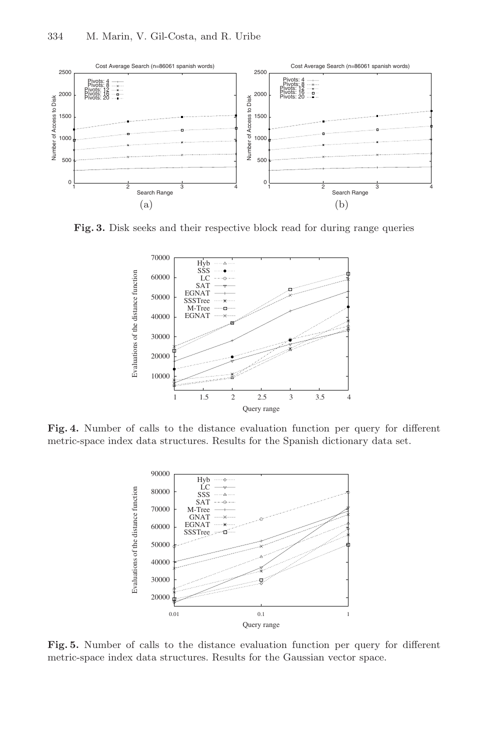

**Fig. 3.** Disk seeks and their respective block read for during range queries



**Fig. 4.** Number of calls to the distance evaluation function per query for different metric-space index data structures. Results for the Spanish dictionary data set.



**Fig. 5.** Number of calls to the distance evaluation function per query for different metric-space index data structures. Results for the Gaussian vector space.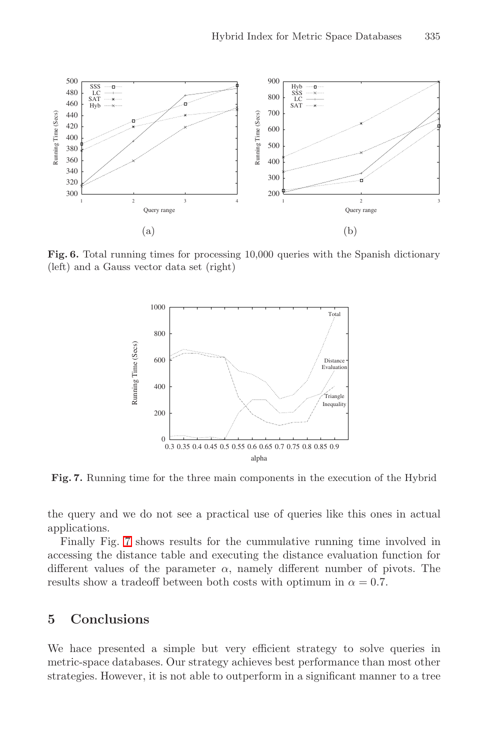

Fig. 6. Total running times for processing 10,000 queries with the Spanish dictionary (left) and a Gauss vector data set (right)



**Fig. 7.** Running time for the three main components in the execution of the Hybrid

the query and we do not see a practical use of queries like this ones in actual applications.

Finally Fig. 7 shows results for the cummulative running time involved in accessing the distance table and executing the distance evaluation function for different values of the parameter  $\alpha$ , namely different number of pivots. The results show a tradeoff between both costs with optimum in  $\alpha = 0.7$ .

# **5 Conclusions**

We hace presented a simple but very efficient strategy to solve queries in metric-space databases. Our strategy achieves best performance than most other strategies. However, it is not able to outperform in a significant manner to a tree